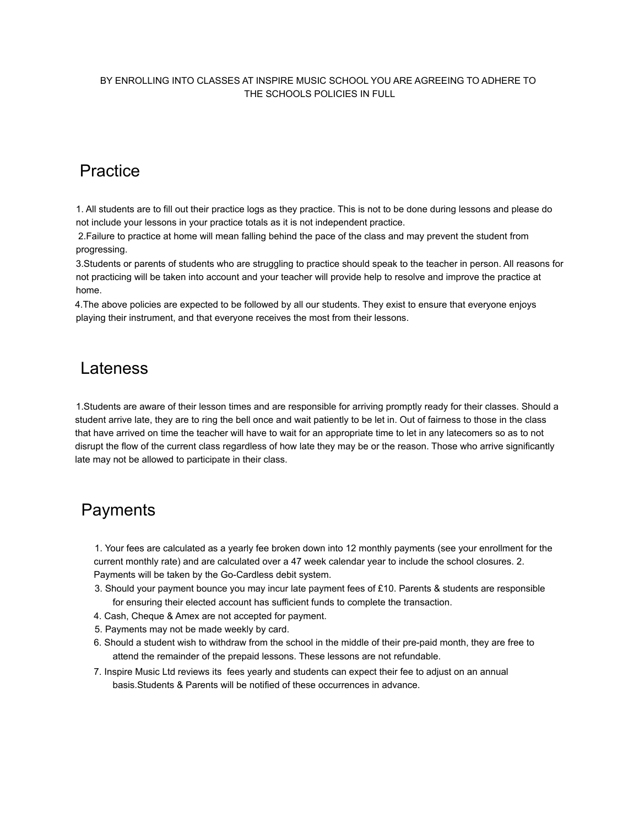#### BY ENROLLING INTO CLASSES AT INSPIRE MUSIC SCHOOL YOU ARE AGREEING TO ADHERE TO THE SCHOOLS POLICIES IN FULL

## **Practice**

1. All students are to fill out their practice logs as they practice. This is not to be done during lessons and please do not include your lessons in your practice totals as it is not independent practice.

2.Failure to practice at home will mean falling behind the pace of the class and may prevent the student from progressing.

3.Students or parents of students who are struggling to practice should speak to the teacher in person. All reasons for not practicing will be taken into account and your teacher will provide help to resolve and improve the practice at home.

4.The above policies are expected to be followed by all our students. They exist to ensure that everyone enjoys playing their instrument, and that everyone receives the most from their lessons.

### Lateness

1.Students are aware of their lesson times and are responsible for arriving promptly ready for their classes. Should a student arrive late, they are to ring the bell once and wait patiently to be let in. Out of fairness to those in the class that have arrived on time the teacher will have to wait for an appropriate time to let in any latecomers so as to not disrupt the flow of the current class regardless of how late they may be or the reason. Those who arrive significantly late may not be allowed to participate in their class.

## **Payments**

1. Your fees are calculated as a yearly fee broken down into 12 monthly payments (see your enrollment for the current monthly rate) and are calculated over a 47 week calendar year to include the school closures. 2. Payments will be taken by the Go-Cardless debit system.

- 3. Should your payment bounce you may incur late payment fees of £10. Parents & students are responsible for ensuring their elected account has sufficient funds to complete the transaction.
- 4. Cash, Cheque & Amex are not accepted for payment.
- 5. Payments may not be made weekly by card.
- 6. Should a student wish to withdraw from the school in the middle of their pre-paid month, they are free to attend the remainder of the prepaid lessons. These lessons are not refundable.
- 7. Inspire Music Ltd reviews its fees yearly and students can expect their fee to adjust on an annual basis.Students & Parents will be notified of these occurrences in advance.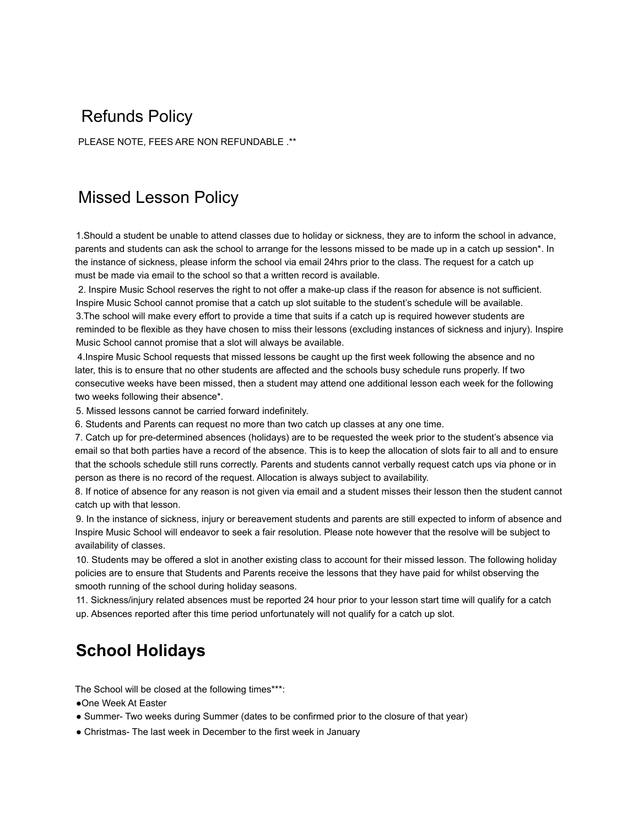## Refunds Policy

PLEASE NOTE, FEES ARE NON REFUNDABLE .\*\*

## Missed Lesson Policy

1.Should a student be unable to attend classes due to holiday or sickness, they are to inform the school in advance, parents and students can ask the school to arrange for the lessons missed to be made up in a catch up session\*. In the instance of sickness, please inform the school via email 24hrs prior to the class. The request for a catch up must be made via email to the school so that a written record is available.

2. Inspire Music School reserves the right to not offer a make-up class if the reason for absence is not sufficient. Inspire Music School cannot promise that a catch up slot suitable to the student's schedule will be available. 3.The school will make every effort to provide a time that suits if a catch up is required however students are reminded to be flexible as they have chosen to miss their lessons (excluding instances of sickness and injury). Inspire Music School cannot promise that a slot will always be available.

4.Inspire Music School requests that missed lessons be caught up the first week following the absence and no later, this is to ensure that no other students are affected and the schools busy schedule runs properly. If two consecutive weeks have been missed, then a student may attend one additional lesson each week for the following two weeks following their absence\*.

5. Missed lessons cannot be carried forward indefinitely.

6. Students and Parents can request no more than two catch up classes at any one time.

7. Catch up for pre-determined absences (holidays) are to be requested the week prior to the student's absence via email so that both parties have a record of the absence. This is to keep the allocation of slots fair to all and to ensure that the schools schedule still runs correctly. Parents and students cannot verbally request catch ups via phone or in person as there is no record of the request. Allocation is always subject to availability.

8. If notice of absence for any reason is not given via email and a student misses their lesson then the student cannot catch up with that lesson.

9. In the instance of sickness, injury or bereavement students and parents are still expected to inform of absence and Inspire Music School will endeavor to seek a fair resolution. Please note however that the resolve will be subject to availability of classes.

10. Students may be offered a slot in another existing class to account for their missed lesson. The following holiday policies are to ensure that Students and Parents receive the lessons that they have paid for whilst observing the smooth running of the school during holiday seasons.

11. Sickness/injury related absences must be reported 24 hour prior to your lesson start time will qualify for a catch up. Absences reported after this time period unfortunately will not qualify for a catch up slot.

# **School Holidays**

The School will be closed at the following times\*\*\*:

●One Week At Easter

- Summer- Two weeks during Summer (dates to be confirmed prior to the closure of that year)
- Christmas- The last week in December to the first week in January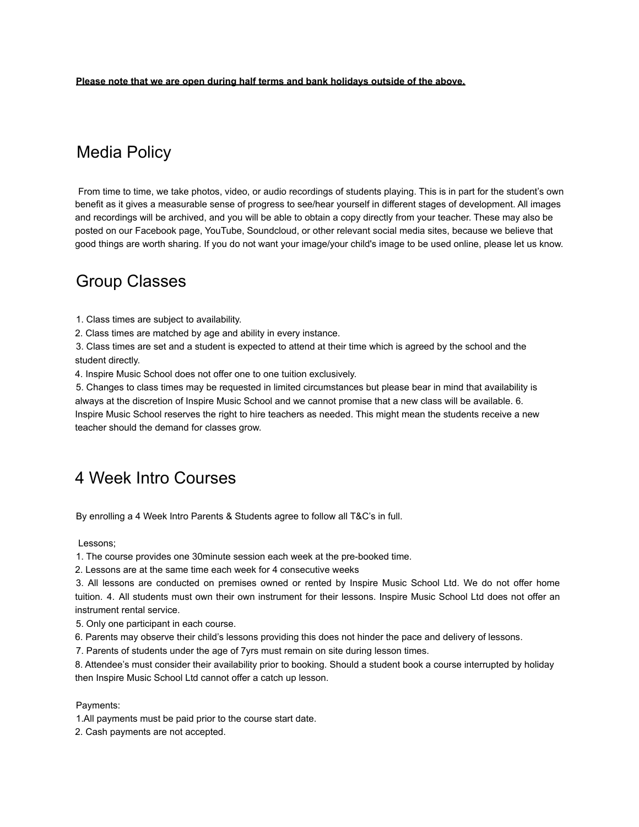**Please note that we are open during half terms and bank holidays outside of the above.**

## Media Policy

From time to time, we take photos, video, or audio recordings of students playing. This is in part for the student's own benefit as it gives a measurable sense of progress to see/hear yourself in different stages of development. All images and recordings will be archived, and you will be able to obtain a copy directly from your teacher. These may also be posted on our Facebook page, YouTube, Soundcloud, or other relevant social media sites, because we believe that good things are worth sharing. If you do not want your image/your child's image to be used online, please let us know.

### Group Classes

1. Class times are subject to availability.

2. Class times are matched by age and ability in every instance.

3. Class times are set and a student is expected to attend at their time which is agreed by the school and the student directly.

4. Inspire Music School does not offer one to one tuition exclusively.

5. Changes to class times may be requested in limited circumstances but please bear in mind that availability is always at the discretion of Inspire Music School and we cannot promise that a new class will be available. 6. Inspire Music School reserves the right to hire teachers as needed. This might mean the students receive a new teacher should the demand for classes grow.

### 4 Week Intro Courses

By enrolling a 4 Week Intro Parents & Students agree to follow all T&C's in full.

Lessons;

1. The course provides one 30minute session each week at the pre-booked time.

2. Lessons are at the same time each week for 4 consecutive weeks

3. All lessons are conducted on premises owned or rented by Inspire Music School Ltd. We do not offer home tuition. 4. All students must own their own instrument for their lessons. Inspire Music School Ltd does not offer an instrument rental service.

5. Only one participant in each course.

6. Parents may observe their child's lessons providing this does not hinder the pace and delivery of lessons.

7. Parents of students under the age of 7yrs must remain on site during lesson times.

8. Attendee's must consider their availability prior to booking. Should a student book a course interrupted by holiday then Inspire Music School Ltd cannot offer a catch up lesson.

#### Payments:

1.All payments must be paid prior to the course start date.

2. Cash payments are not accepted.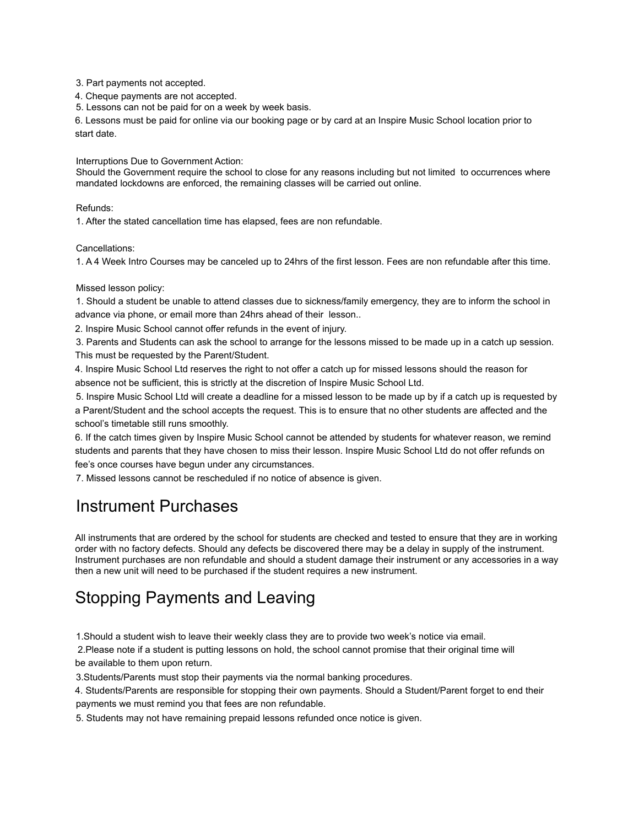3. Part payments not accepted.

4. Cheque payments are not accepted.

5. Lessons can not be paid for on a week by week basis.

6. Lessons must be paid for online via our booking page or by card at an Inspire Music School location prior to start date.

Interruptions Due to Government Action:

Should the Government require the school to close for any reasons including but not limited to occurrences where mandated lockdowns are enforced, the remaining classes will be carried out online.

Refunds:

1. After the stated cancellation time has elapsed, fees are non refundable.

Cancellations:

1. A 4 Week Intro Courses may be canceled up to 24hrs of the first lesson. Fees are non refundable after this time.

#### Missed lesson policy:

1. Should a student be unable to attend classes due to sickness/family emergency, they are to inform the school in advance via phone, or email more than 24hrs ahead of their lesson..

2. Inspire Music School cannot offer refunds in the event of injury.

3. Parents and Students can ask the school to arrange for the lessons missed to be made up in a catch up session. This must be requested by the Parent/Student.

4. Inspire Music School Ltd reserves the right to not offer a catch up for missed lessons should the reason for absence not be sufficient, this is strictly at the discretion of Inspire Music School Ltd.

5. Inspire Music School Ltd will create a deadline for a missed lesson to be made up by if a catch up is requested by a Parent/Student and the school accepts the request. This is to ensure that no other students are affected and the school's timetable still runs smoothly.

6. If the catch times given by Inspire Music School cannot be attended by students for whatever reason, we remind students and parents that they have chosen to miss their lesson. Inspire Music School Ltd do not offer refunds on fee's once courses have begun under any circumstances.

7. Missed lessons cannot be rescheduled if no notice of absence is given.

## Instrument Purchases

All instruments that are ordered by the school for students are checked and tested to ensure that they are in working order with no factory defects. Should any defects be discovered there may be a delay in supply of the instrument. Instrument purchases are non refundable and should a student damage their instrument or any accessories in a way then a new unit will need to be purchased if the student requires a new instrument.

# Stopping Payments and Leaving

1.Should a student wish to leave their weekly class they are to provide two week's notice via email.

2.Please note if a student is putting lessons on hold, the school cannot promise that their original time will be available to them upon return.

3.Students/Parents must stop their payments via the normal banking procedures.

4. Students/Parents are responsible for stopping their own payments. Should a Student/Parent forget to end their payments we must remind you that fees are non refundable.

5. Students may not have remaining prepaid lessons refunded once notice is given.